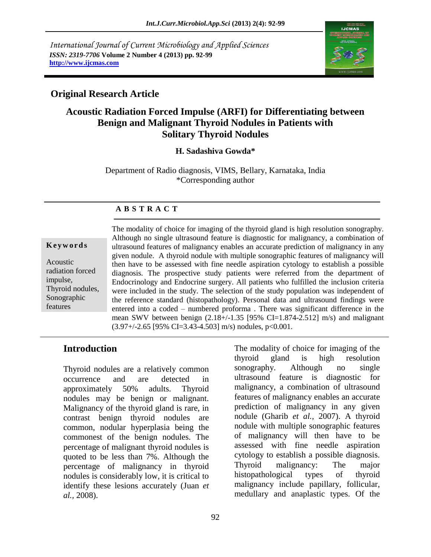*International Journal of Current Microbiology and Applied Sciences ISSN: 2319-7706* **Volume 2 Number 4 (2013) pp. 92-99 http://www.ijcmas.com**



# **Original Research Article**

# **Acoustic Radiation Forced Impulse (ARFI) for Differentiating between Benign and Malignant Thyroid Nodules in Patients with Solitary Thyroid Nodules**

### **H. Sadashiva Gowda\***

Department of Radio diagnosis, VIMS, Bellary, Karnataka, India \*Corresponding author

### **A B S T R A C T**

#### **K e y w o r d s**

Acoustic radiation forced impulse, Thyroid nodules, Sonographic features

The modality of choice for imaging of the thyroid gland is high resolution sonography. Although no single ultrasound feature is diagnostic for malignancy, a combination of ultrasound features of malignancy enables an accurate prediction of malignancy in any given nodule. A thyroid nodule with multiple sonographic features of malignancy will then have to be assessed with fine needle aspiration cytology to establish a possible diagnosis. The prospective study patients were referred from the department of Endocrinology and Endocrine surgery. All patients who fulfilled the inclusion criteria were included in the study. The selection of the study population was independent of the reference standard (histopathology). Personal data and ultrasound findings were entered into a coded – numbered proforma . There was significant difference in the mean SWV between benign  $(2.18+/1.35]$  [95% CI=1.874-2.512] m/s) and malignant  $(3.97 + / -2.65)$  [95% CI=3.43-4.503] m/s) nodules, p<0.001.

### **Introduction**

Thyroid nodules are a relatively common occurrence and are detected in approximately 50% adults. Thyroid nodules may be benign or malignant. Malignancy of the thyroid gland is rare, in contrast benign thyroid nodules are common, nodular hyperplasia being the commonest of the benign nodules. The percentage of malignant thyroid nodules is quoted to be less than 7%. Although the percentage of malignancy in thyroid nodules is considerably low, it is critical to identify these lesions accurately (Juan *et al.,* 2008).

The modality of choice for imaging of the thyroid gland is high resolution sonography. Although no single ultrasound feature is diagnostic for malignancy, a combination of ultrasound features of malignancy enables an accurate prediction of malignancy in any given nodule (Gharib *et al.,* 2007). A thyroid nodule with multiple sonographic features of malignancy will then have to be assessed with fine needle aspiration cytology to establish a possible diagnosis. Thyroid malignancy: The major histopathological types of thyroid malignancy include papillary, follicular, medullary and anaplastic types. Of the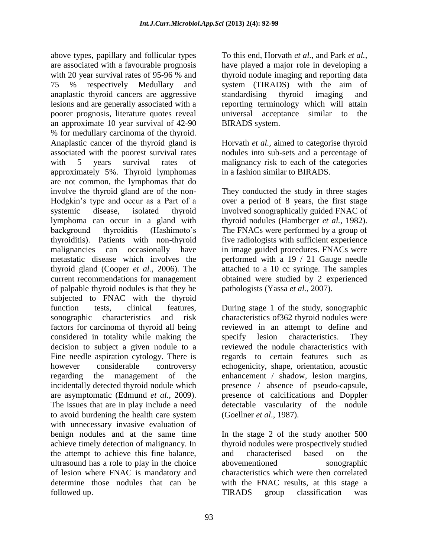above types, papillary and follicular types are associated with a favourable prognosis with 20 year survival rates of 95-96 % and 75 % respectively Medullary and anaplastic thyroid cancers are aggressive lesions and are generally associated with a poorer prognosis, literature quotes reveal an approximate 10 year survival of 42-90 % for medullary carcinoma of the thyroid. Anaplastic cancer of the thyroid gland is associated with the poorest survival rates with 5 years survival rates of approximately 5%. Thyroid lymphomas are not common, the lymphomas that do involve the thyroid gland are of the non-Hodgkin's type and occur as a Part of a systemic disease, isolated thyroid lymphoma can occur in a gland with background thyroiditis (Hashimoto's thyroiditis). Patients with non-thyroid malignancies can occasionally have metastatic disease which involves the thyroid gland (Cooper *et al.,* 2006). The current recommendations for management of palpable thyroid nodules is that they be subjected to FNAC with the thyroid function tests, clinical features, sonographic characteristics and risk factors for carcinoma of thyroid all being considered in totality while making the decision to subject a given nodule to a Fine needle aspiration cytology. There is however considerable controversy regarding the management of the incidentally detected thyroid nodule which are asymptomatic (Edmund *et al.,* 2009). The issues that are in play include a need to avoid burdening the health care system with unnecessary invasive evaluation of benign nodules and at the same time achieve timely detection of malignancy. In the attempt to achieve this fine balance, ultrasound has a role to play in the choice of lesion where FNAC is mandatory and determine those nodules that can be followed up.

To this end, Horvath *et al.,* and Park *et al.,* have played a major role in developing a thyroid nodule imaging and reporting data system (TIRADS) with the aim of standardising thyroid imaging and reporting terminology which will attain universal acceptance similar to the BIRADS system.

Horvath *et al.,* aimed to categorise thyroid nodules into sub-sets and a percentage of malignancy risk to each of the categories in a fashion similar to BIRADS.

They conducted the study in three stages over a period of 8 years, the first stage involved sonographically guided FNAC of thyroid nodules (Hamberger *et al.,* 1982). The FNACs were performed by a group of five radiologists with sufficient experience in image guided procedures. FNACs were performed with a 19 / 21 Gauge needle attached to a 10 cc syringe. The samples obtained were studied by 2 experienced pathologists (Yassa *et al.,* 2007).

During stage 1 of the study, sonographic characteristics of362 thyroid nodules were reviewed in an attempt to define and specify lesion characteristics. They reviewed the nodule characteristics with regards to certain features such as echogenicity, shape, orientation, acoustic enhancement / shadow, lesion margins, presence / absence of pseudo-capsule, presence of calcifications and Doppler detectable vascularity of the nodule (Goellner *et al*., 1987).

In the stage 2 of the study another 500 thyroid nodules were prospectively studied and characterised based on the abovementioned sonographic characteristics which were then correlated with the FNAC results, at this stage a TIRADS group classification was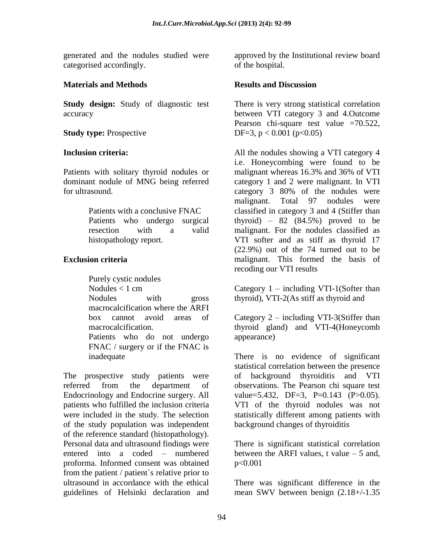generated and the nodules studied were categorised accordingly.

### **Materials and Methods**

**Study design:** Study of diagnostic test accuracy

**Study type:** Prospective

## **Inclusion criteria:**

Patients with solitary thyroid nodules or dominant nodule of MNG being referred for ultrasound.

> Patients with a conclusive FNAC Patients who undergo surgical resection with a valid histopathology report.

## **Exclusion criteria**

Purely cystic nodules Nodules  $< 1$  cm Nodules with gross macrocalcification where the ARFI box cannot avoid areas of macrocalcification. Patients who do not undergo FNAC / surgery or if the FNAC is inadequate

The prospective study patients were referred from the department of Endocrinology and Endocrine surgery. All patients who fulfilled the inclusion criteria were included in the study. The selection of the study population was independent of the reference standard (histopathology). Personal data and ultrasound findings were entered into a coded – numbered proforma. Informed consent was obtained from the patient / patient`s relative prior to ultrasound in accordance with the ethical guidelines of Helsinki declaration and

approved by the Institutional review board of the hospital.

## **Results and Discussion**

There is very strong statistical correlation between VTI category 3 and 4.Outcome Pearson chi-square test value =70.522, DF=3,  $p < 0.001$  ( $p < 0.05$ )

All the nodules showing a VTI category 4 i.e. Honeycombing were found to be malignant whereas 16.3% and 36% of VTI category 1 and 2 were malignant. In VTI category 3 80% of the nodules were malignant. Total 97 nodules were classified in category 3 and 4 (Stiffer than thyroid) –  $82$   $(84.5%)$  proved to be malignant. For the nodules classified as VTI softer and as stiff as thyroid 17 (22.9%) out of the 74 turned out to be malignant. This formed the basis of recoding our VTI results

Category  $1$  – including VTI-1(Softer than thyroid), VTI-2(As stiff as thyroid and

Category 2 – including VTI-3(Stiffer than thyroid gland) and VTI-4(Honeycomb appearance)

There is no evidence of significant statistical correlation between the presence of background thyroiditis and VTI observations. The Pearson chi square test value=5.432, DF=3, P=0.143  $(P>0.05)$ . VTI of the thyroid nodules was not statistically different among patients with background changes of thyroiditis

There is significant statistical correlation between the ARFI values, t value  $-5$  and, p<0.001

There was significant difference in the mean SWV between benign (2.18+/-1.35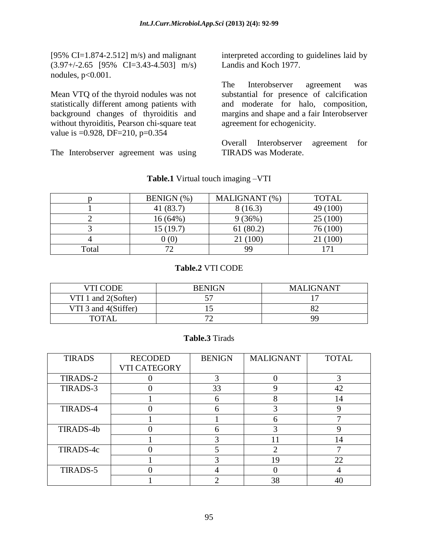[95% CI=1.874-2.512] m/s) and malignant (3.97+/-2.65 [95% CI=3.43-4.503] m/s) nodules,  $p<0.001$ .

Mean VTQ of the thyroid nodules was not statistically different among patients with background changes of thyroiditis and without thyroiditis, Pearson chi-square teat value is =0.928, DF=210, p=0.354

The Interobserver agreement was using

interpreted according to guidelines laid by Landis and Koch 1977.

The Interobserver agreement was substantial for presence of calcification and moderate for halo, composition, margins and shape and a fair Interobserver agreement for echogenicity.

Overall Interobserver agreement for TIRADS was Moderate.

|       | BENIGN (%) | MALIGNANT (%) | <b>TOTAL</b> |
|-------|------------|---------------|--------------|
|       | 41(83.7)   | 8(16.3)       | 49 (100)     |
|       | 16 (64%)   | 9(36%)        | 25(100)      |
|       | 15 (19.7)  | 61(80.2)      | 76 (100)     |
|       | J(0)       | 21 (100)      | (100)        |
| Total |            | 99            |              |

**Table.1** Virtual touch imaging –VTI

#### **Table.2** VTI CODE

| VTI CODE             | <b>BENIGN</b> | <b>MALIGNANT</b> |
|----------------------|---------------|------------------|
| VTI 1 and 2(Softer)  |               |                  |
| VTI 3 and 4(Stiffer) |               |                  |
| <b>TOTAL</b>         |               | 99               |

#### **Table.3** Tirads

| <b>TIRADS</b> | <b>RECODED</b>      | <b>BENIGN</b> | <b>MALIGNANT</b> | <b>TOTAL</b> |
|---------------|---------------------|---------------|------------------|--------------|
|               | <b>VTI CATEGORY</b> |               |                  |              |
| TIRADS-2      |                     |               |                  |              |
| TIRADS-3      |                     | 33            | q                | 42           |
|               |                     |               | 8                | 14           |
| TIRADS-4      |                     |               | 3                |              |
|               |                     |               | h                |              |
| TIRADS-4b     |                     |               | 3                |              |
|               |                     |               |                  | 14           |
| TIRADS-4c     |                     |               | ി                |              |
|               |                     |               | 19               | 22           |
| TIRADS-5      |                     |               |                  |              |
|               |                     |               | 38               |              |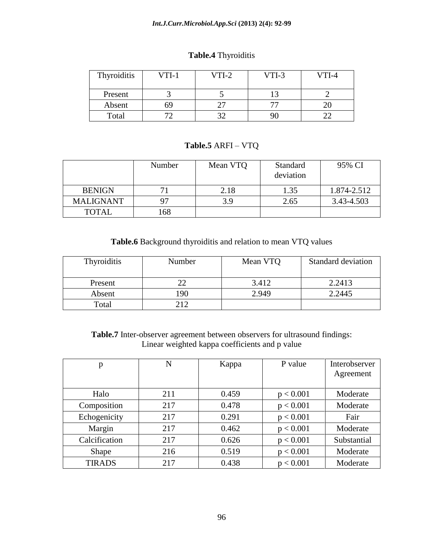#### *Int.J.Curr.Microbiol.App.Sci* **(2013) 2(4): 92-99**

| Thyroiditis | $VTI-1$ | $VTI-2$ | $VTI-3$ | VTI-4 |
|-------------|---------|---------|---------|-------|
| Present     |         |         |         |       |
| Absent      | 69      |         |         |       |
| Total       |         |         |         |       |

## **Table.4** Thyroiditis

## **Table.5** ARFI – VTQ

|                  | Number | Mean VTQ | Standard<br>deviation | 95% CI      |
|------------------|--------|----------|-----------------------|-------------|
| <b>BENIGN</b>    |        | 2.18     | 1.35                  | 1.874-2.512 |
| <b>MALIGNANT</b> |        | 3.9      | 2.65                  | 3.43-4.503  |
| <b>TOTAL</b>     | 168    |          |                       |             |

## **Table.6** Background thyroiditis and relation to mean VTQ values

| Thyroiditis | Number | Mean VTQ | <b>Standard deviation</b> |
|-------------|--------|----------|---------------------------|
|             |        |          |                           |
| Present     |        | 3.412    | 2.2413                    |
| Absent      | 190    | 2.949    | 2.2445                    |
| Total       | 212    |          |                           |

**Table.7** Inter-observer agreement between observers for ultrasound findings: Linear weighted kappa coefficients and p value

| p             | N   | Kappa | P value   | Interobserver |
|---------------|-----|-------|-----------|---------------|
|               |     |       |           | Agreement     |
| Halo          | 211 | 0.459 | p < 0.001 | Moderate      |
| Composition   | 217 | 0.478 | p < 0.001 | Moderate      |
| Echogenicity  | 217 | 0.291 | p < 0.001 | Fair          |
| Margin        | 217 | 0.462 | p < 0.001 | Moderate      |
| Calcification | 217 | 0.626 | p < 0.001 | Substantial   |
| Shape         | 216 | 0.519 | p < 0.001 | Moderate      |
| <b>TIRADS</b> | 217 | 0.438 | p < 0.001 | Moderate      |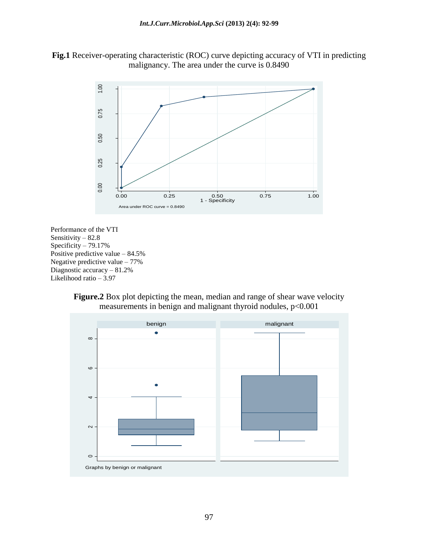



Performance of the VTI Sensitivity – 82.8 Specificity – 79.17% Positive predictive value – 84.5% Negative predictive value – 77% Diagnostic accuracy – 81.2% Likelihood ratio – 3.97



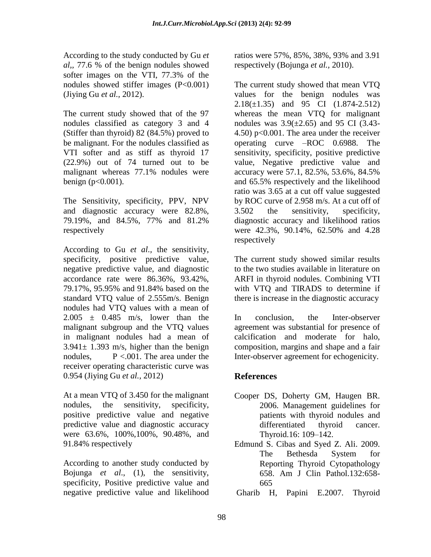According to the study conducted by Gu *et al,,* 77.6 % of the benign nodules showed softer images on the VTI, 77.3% of the nodules showed stiffer images (P<0.001) (Jiying Gu *et al.,* 2012).

The current study showed that of the 97 nodules classified as category 3 and 4 (Stiffer than thyroid) 82 (84.5%) proved to be malignant. For the nodules classified as VTI softer and as stiff as thyroid 17 (22.9%) out of 74 turned out to be malignant whereas 77.1% nodules were benign ( $p < 0.001$ ).

The Sensitivity, specificity, PPV, NPV and diagnostic accuracy were 82.8%, 79.19%, and 84.5%, 77% and 81.2% respectively

According to Gu *et al.,* the sensitivity, specificity, positive predictive value, negative predictive value, and diagnostic accordance rate were 86.36%, 93.42%, 79.17%, 95.95% and 91.84% based on the standard VTQ value of 2.555m/s. Benign nodules had VTQ values with a mean of  $2.005 \pm 0.485$  m/s, lower than the malignant subgroup and the VTQ values in malignant nodules had a mean of  $3.941 \pm 1.393$  m/s, higher than the benign nodules,  $P < .001$ . The area under the receiver operating characteristic curve was 0.954 (Jiying Gu *et al.,* 2012)

At a mean VTQ of 3.450 for the malignant nodules, the sensitivity, specificity, positive predictive value and negative predictive value and diagnostic accuracy were 63.6%, 100%,100%, 90.48%, and 91.84% respectively

According to another study conducted by Bojunga *et al*., (1), the sensitivity, specificity, Positive predictive value and negative predictive value and likelihood ratios were 57%, 85%, 38%, 93% and 3.91 respectively (Bojunga *et al.,* 2010).

The current study showed that mean VTQ values for the benign nodules was 2.18(±1.35) and 95 CI (1.874-2.512) whereas the mean VTQ for malignant nodules was  $3.9(\pm 2.65)$  and 95 CI (3.43-4.50) p<0.001. The area under the receiver operating curve –ROC 0.6988. The sensitivity, specificity, positive predictive value, Negative predictive value and accuracy were 57.1, 82.5%, 53.6%, 84.5% and 65.5% respectively and the likelihood ratio was 3.65 at a cut off value suggested by ROC curve of 2.958 m/s. At a cut off of 3.502 the sensitivity, specificity, diagnostic accuracy and likelihood ratios were 42.3%, 90.14%, 62.50% and 4.28 respectively

The current study showed similar results to the two studies available in literature on ARFI in thyroid nodules. Combining VTI with VTQ and TIRADS to determine if there is increase in the diagnostic accuracy

In conclusion, the Inter-observer agreement was substantial for presence of calcification and moderate for halo, composition, margins and shape and a fair Inter-observer agreement for echogenicity.

# **References**

- Cooper DS, Doherty GM, Haugen BR. 2006. Management guidelines for patients with thyroid nodules and differentiated thyroid cancer. Thyroid.16: 109–142.
- Edmund S. Cibas and Syed Z. Ali. 2009. The Bethesda System for Reporting Thyroid Cytopathology 658. Am J Clin Pathol.132:658- 665

Gharib H, Papini E.2007. Thyroid